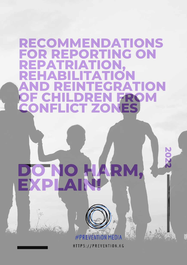# **RECOMMENDATIONS FOR REPORTING ON REPATRIATION, REHABILITATION AND REINTEGRATION OF CHILDREN FROM CONFLICT ZONES 2 0 2 DO NO HARM, 2 EXPLAIN!#PREVENTION MED**

HTTPS://PREVENTION.KG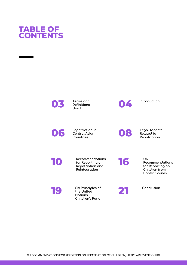### **TABLE OF CONTENTS**

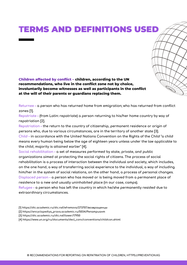### **T**ERMS AND DEFINITIONS USED

**Children affected by conflict – children, according to the UN recommendations, who live in the conflict zone not by choice, involuntarily become witnesses as well as participants in the conflict at the will of their parents or guardians replacing them.**

**Returnee – a person who has returned home from emigration; who has returned from conflict zones [1].**

**Repatriate – (from Latin: repatriate) a person returning to his/her home country by way of repatriation [2].**

**Repatriation – the return to the country of citizenship, permanent residence or origin of persons who, due to various circumstances, are in the territory of another state [3]. Child – in accordance with the United Nations Convention on the Rights of the Child "a child means every human being below the age of eighteen years unless under the law applicable to the child, majority is attained earlier" [4].**

**Social rehabilitation – a set of measures performed by state, private, and public organizations aimed at protecting the social rights of citizens. The process of social rehabilitation is a process of interaction between the individual and society, which includes, on the one hand, a way of transferring social experience to the individual, a way of including him/her in the system of social relations, on the other hand, a process of personal changes. Displaced person – a person who has moved or is being moved from a permanent place of residence to a new and usually uninhabited place (in our case, camps).**

**Refugee – a person who has left the country in which he/she permanently resided due to extraordinary circumstances.**

- **[1] [https://dic.academic.ru/dic.nsf/efremova/273707/возвращенцы](https://dic.academic.ru/dic.nsf/efremova/273707/%D0%B2%D0%BE%D0%B7%D0%B2%D1%80%D0%B0%D1%89%D0%B5%D0%BD%D1%86%D1%8B)**
- **[2] [https://encyclopediya\\_prava.academic.ru/5034/Репатриант](https://encyclopediya_prava.academic.ru/5034/%D0%A0%D0%B5%D0%BF%D0%B0%D1%82%D1%80%D0%B8%D0%B0%D0%BD%D1%82)**
- **[3] <https://dic.academic.ru/dic.nsf/lower/17950>**
- **[4] [https://www.un.org/ru/documents/decl\\_conv/conventions/childcon.shtml](https://www.un.org/ru/documents/decl_conv/conventions/childcon.shtml)**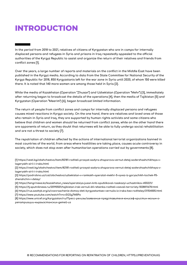### **INTRODUCTION**

In the period from 2018 to 2021, relatives of citizens of Kyrgyzstan who are in camps for internally **displaced persons and refugees in Syria and prisons in Iraq repeatedly appealed to the official authorities of the Kyrgyz Republic to assist and organize the return of their relatives and friends from conflict zones [1].**

Over the years, a large number of reports and materials on the conflict in the Middle East have been **published in the Kyrgyz media. According to data from the State Committee for National Security of the** Kyrgyz Republic for 2018, 850 Kyrgyzstanis left for the war zone in Syria until 2020, of whom 150 were killed **there. It is noted that 140 more women are among those held in Syria [2].**

**While the media of Kazakhstan (Operation "Zhusan") and Uzbekistan (Operation "Mehr") [3], immediately** after returning began to broadcast the details of the operations [4], then the media of Tajikistan [5] and **Kyrgyzstan (Operation "Meerim") [6], began broadcast limited information.**

**The return of people from conflict zones and camps for internally displaced persons and refugees** causes mixed reactions in Kyrgyz society. On the one hand, there are relatives and loved ones of those **who remain in Syria and Iraq, they are supported by human rights activists and some citizens who believe that children and women should be returned from conflict zones, while on the other hand there are opponents of return, as they doubt that returnees will be able to fully undergo social rehabilitation and are not a threat to society [7].**

**The repatriation of children affected by the actions of international terrorist organizations banned in most countries of the world, from areas where hostilities are taking place, causes acute controversy in society, which does not stop even after humanitarian operations carried out by governments [8].**

**[1] [https://vesti.kg/obshchestvo/item/82181-roditeli-prosyat-sadyra-zhaparova-vernut-detej-soderzhashchikhsya-v](https://vesti.kg/obshchestvo/item/82181-roditeli-prosyat-sadyra-zhaparova-vernut-detej-soderzhashchikhsya-v-lageryakh-sirii-i-iraka.html)lageryakh-sirii-i-iraka.html**

**[2] [https://vesti.kg/obshchestvo/item/82181-roditeli-prosyat-sadyra-zhaparova-vernut-detej-soderzhashchikhsya-v](https://vesti.kg/obshchestvo/item/82181-roditeli-prosyat-sadyra-zhaparova-vernut-detej-soderzhashchikhsya-v-lageryakh-sirii-i-iraka.html)lageryakh-sirii-i-iraka.html**

**[3] [https://podrobno.uz/cat/obchestvo/uzbekistan-v-ramkakh-operatsii-mekhr-5-vyvez-iz-goryachikh-tochek-95](https://podrobno.uz/cat/obchestvo/uzbekistan-v-ramkakh-operatsii-mekhr-5-vyvez-iz-goryachikh-tochek-95-zhenshchin-i-detey/) zhenshchin-i-detey/**

**[4] [https://tengrinews.kz/kazakhstan\\_news/operatsiya-jusan-knb-opublikoval-rasskazyi-uchastnikov-455221/](https://tengrinews.kz/kazakhstan_news/operatsiya-jusan-knb-opublikoval-rasskazyi-uchastnikov-455221/)**

**[5] <https://tj.sputniknews.ru/20190501/tajikistan-irak-vernuli-64-rebenka-roditeli-voevali-terroristy-1028811678.html>**

**[6] <https://rus.azattyk.org/a/vozvraschenie-domoy-deti-kyrgyzstantsev-vernulis-iz-iraka-bez-roditeley/31154005.html> [7] <https://www.youtube.com/watch?v=cvSGSg7M0Po>**

**[8] [https://www.unicef.org/kyrgyzstan/ru/Пресс-релизы/заявление-представителя-юнисеф-кристин-жольм-о](https://www.unicef.org/kyrgyzstan/ru/%D0%9F%D1%80%D0%B5%D1%81%D1%81-%D1%80%D0%B5%D0%BB%D0%B8%D0%B7%D1%8B/%D0%B7%D0%B0%D1%8F%D0%B2%D0%BB%D0%B5%D0%BD%D0%B8%D0%B5-%D0%BF%D1%80%D0%B5%D0%B4%D1%81%D1%82%D0%B0%D0%B2%D0%B8%D1%82%D0%B5%D0%BB%D1%8F-%D1%8E%D0%BD%D0%B8%D1%81%D0%B5%D1%84-%D0%BA%D1%80%D0%B8%D1%81%D1%82%D0%B8%D0%BD-%D0%B6%D0%BE%D0%BB%D1%8C%D0%BC-%D0%BE-%D1%80%D0%B5%D0%BF%D0%B0%D1%82%D1%80%D0%B8%D0%B0%D1%86%D0%B8%D0%B8-%D0%BA%D1%8B%D1%80%D0%B3%D1%8B%D0%B7%D1%81%D1%82%D0%B0%D0%BD%D1%81%D0%BA%D0%B8%D1%85-%D0%B4%D0%B5%D1%82%D0%B5%D0%B9-%D0%B8%D0%B7)репатриации-кыргызстанских-детей-из**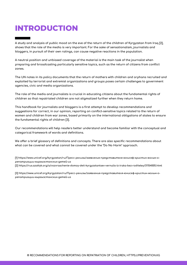### **INTRODUCTION**

A study and analysis of public mood on the eve of the return of the children of Kyrgyzstan from Iraq [2], **shows that the role of the media is very important. For the sake of sensationalism, journalists and bloggers, in pursuit of their own ratings, can cause negative reactions in the population.**

**A neutral position and unbiased coverage of the material is the main task of the journalist when preparing and broadcasting particularly sensitive topics, such as the return of citizens from conflict zones.**

The UN notes in its policy documents that the return of mothers with children and orphans recruited and **exploited by terrorist and extremist organizations and groups poses certain challenges to government agencies, civic and media organizations.**

**The role of the media and journalists is crucial in educating citizens about the fundamental rights of children so that repatriated children are not stigmatized further when they return home.**

**This handbook for journalists and bloggers is a first attempt to develop recommendations and suggestions for correct, in our opinion, reporting on conflict-sensitive topics related to the return of women and children from war zones, based primarily on the international obligations of states to ensure the fundamental rights of children [3].**

**Our recommendations will help readers better understand and become familiar with the conceptual and categorical framework of words and definitions.**

**We offer a brief glossary of definitions and concepts. There are also specific recommendations about what can be covered and what cannot be covered under the "Do No Harm" approach.**

**[1] [https://www.unicef.org/kyrgyzstan/ru/Пресс-релизы/заявление-представителя-юнисеф-кристин-жольм-о](https://www.unicef.org/kyrgyzstan/ru/%D0%9F%D1%80%D0%B5%D1%81%D1%81-%D1%80%D0%B5%D0%BB%D0%B8%D0%B7%D1%8B/%D0%B7%D0%B0%D1%8F%D0%B2%D0%BB%D0%B5%D0%BD%D0%B8%D0%B5-%D0%BF%D1%80%D0%B5%D0%B4%D1%81%D1%82%D0%B0%D0%B2%D0%B8%D1%82%D0%B5%D0%BB%D1%8F-%D1%8E%D0%BD%D0%B8%D1%81%D0%B5%D1%84-%D0%BA%D1%80%D0%B8%D1%81%D1%82%D0%B8%D0%BD-%D0%B6%D0%BE%D0%BB%D1%8C%D0%BC-%D0%BE-%D1%80%D0%B5%D0%BF%D0%B0%D1%82%D1%80%D0%B8%D0%B0%D1%86%D0%B8%D0%B8-%D0%BA%D1%8B%D1%80%D0%B3%D1%8B%D0%B7%D1%81%D1%82%D0%B0%D0%BD%D1%81%D0%BA%D0%B8%D1%85-%D0%B4%D0%B5%D1%82%D0%B5%D0%B9-%D0%B8%D0%B7)репатриации-кыргызстанских-детей-из [2] <https://rus.azattyk.org/a/vozvraschenie-domoy-deti-kyrgyzstantsev-vernulis-iz-iraka-bez-roditeley/31154005.html>**

**[3] [https://www.unicef.org/kyrgyzstan/ru/Пресс-релизы/заявление-представителя-юнисеф-кристин-жольм-о](https://www.unicef.org/kyrgyzstan/ru/%D0%9F%D1%80%D0%B5%D1%81%D1%81-%D1%80%D0%B5%D0%BB%D0%B8%D0%B7%D1%8B/%D0%B7%D0%B0%D1%8F%D0%B2%D0%BB%D0%B5%D0%BD%D0%B8%D0%B5-%D0%BF%D1%80%D0%B5%D0%B4%D1%81%D1%82%D0%B0%D0%B2%D0%B8%D1%82%D0%B5%D0%BB%D1%8F-%D1%8E%D0%BD%D0%B8%D1%81%D0%B5%D1%84-%D0%BA%D1%80%D0%B8%D1%81%D1%82%D0%B8%D0%BD-%D0%B6%D0%BE%D0%BB%D1%8C%D0%BC-%D0%BE-%D1%80%D0%B5%D0%BF%D0%B0%D1%82%D1%80%D0%B8%D0%B0%D1%86%D0%B8%D0%B8-%D0%BA%D1%8B%D1%80%D0%B3%D1%8B%D0%B7%D1%81%D1%82%D0%B0%D0%BD%D1%81%D0%BA%D0%B8%D1%85-%D0%B4%D0%B5%D1%82%D0%B5%D0%B9-%D0%B8%D0%B7)репатриации-кыргызстанских-детей-из**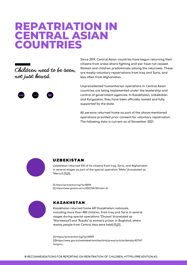### **REPATRIATION IN CENTRAL ASIAN COUNTRIES**





**Since 2019, Central Asian countries have begun returning their citizens from areas where fighting and war have not ceased. Women and children predominate among the returnees. These are mostly voluntary repatriations from Iraq and Syria, and less often from Afghanistan.**

**Unprecedented humanitarian operations in Central Asian countries are being implemented under the leadership and control of government agencies. In Kazakhstan, Uzbekistan and Kyrgyzstan, they have been officially named and fully supported by the state.**

**All persons returned home as part of the above-mentioned operations provided prior consent for voluntary repatriation. The following data is current as of November 2021.**



#### UZBEKISTAN

**Uzbekistan returned 531 of its citizens from Iraq, Syria, and Afghanistan in several stages as part of the special operation "Mehr" (translated as "Mercy") [1],[2].**

**[1] <https://prevention.kg/?p=10590> [2] <https://www.gazeta.uz/ru/2021/04/30/mehr-5/>**



#### КАZAKHSTAN

**Kazakhstan returned home 607 Kazakhstani nationals, including more than 400 children, from Iraq and Syria in several stages during special operations "Zhusan" (translated as "Wormwood") and "Rusafa" (a women's prison in Baghdad, where mainly people from Central Asia were held) [1],[2].**

**[1] <https://prevention.kg/?p=10590> [\[2\]https://www.gov.kz/memleket/entities/knb/press/article/details/42716?](https://www.gov.kz/memleket/entities/knb/press/article/details/42716?lang=ru) lang=ru**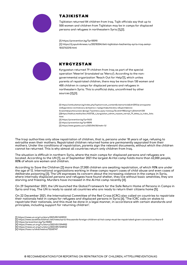

#### ТAJIKISTAN

**Tajikistan returned 84 children from Iraq. Tajik officials say that up to 500 women and children from Tajikistan may be in camps for displaced persons and refugees in northeastern Syria [1],[2].**

**[1] <https://prevention.kg/?p=10590> [2] [https://tj.sputniknews.ru/20210204/deti-tajikistan-bezhentsy-syria-iraq-semyi-](https://tj.sputniknews.ru/20210204/deti-tajikistan-bezhentsy-syria-iraq-semyi-1032762210.html)1032762210.html**



#### КYRGYZSTAN

**Kyrgyzstan returned 79 children from Iraq as part of the special operation "Meerim" (translated as "Mercy"). According to the nongovernmental organization "Reach Out for Help"[1], which unites parents of repatriated children, there may be more than 130 women and 400 children in camps for displaced persons and refugees in northeastern Syria. This is unofficial data, unconfirmed by other sources [2],[3].**

**[1] [https://ombudsman.kg/index.php?option=com\\_content&view=article&id=2592:в-аппарате](https://ombudsman.kg/index.php?option=com_content&view=article&id=2592:%D0%B2-%D0%B0%D0%BF%D0%BF%D0%B0%D1%80%D0%B0%D1%82%D0%B5-%D0%BE%D0%BC%D0%B1%D1%83%D0%B4%D1%81%D0%BC%D0%B5%D0%BD%D0%B0-%D1%81%D0%BE%D1%81%D1%82%D0%BE%D1%8F%D0%BB%D0%B0%D1%81%D1%8C-%D0%B2%D1%81%D1%82%D1%80%D0%B5%D1%87%D0%B0-%D1%81-%D0%BF%D1%80%D0%B5%D0%B4%D1%81%D1%82%D0%B0%D0%B2%D0%B8%D1%82%D0%B5%D0%BB%D1%8F%D0%BC%D0%B8-%D0%BE%D0%B1%D1%89%D0%B5%D1%81%D1%82%D0%B2%D0%B5%D0%BD%D0%BD%D0%BE-%D0%B1%D0%BB%D0%B0%D0%B3%D0%BE%D1%82%D0%B2%D0%BE%D1%80%D0%B8%D1%82%D0%B5%D0%BB%D1%8C%D0%BD%D0%BE%D0%B3%D0%BE-%D1%84%D0%BE%D0%BD%D0%B4%D0%B0-%E2%80%9C%D0%BF%D1%80%D0%BE%D1%82%D1%8F%D0%BD%D0%B8-%D1%80%D1%83%D0%BA%D1%83-%D0%BF%D0%BE%D0%BC%D0%BE%D1%89%D0%B8%E2%80%9D&catid=18&lang=ru&Itemid=330)омбудсмена-состоялась-встреча-с-представителями-общественноблаготворительного-фонда-"протяни-руку-помощи"&catid=18&lang=ru&Itemid=330 [\[2\]https://kaktus.media/doc/433728\\_v\\_kyrgyzstan\\_odnim\\_reysom\\_vernyli\\_79\\_detey\\_iz\\_iraka.\\_foto.](https://kaktus.media/doc/433728_v_kyrgyzstan_odnim_reysom_vernyli_79_detey_iz_iraka._foto.html) html [3] <https://prevention.kg/?p=11633> [1] <https://prevention.kg/?p=10590> [2] <https://www.gazeta.uz/ru/2021/04/30/mehr-5/>**

The Iraqi authorities only allow repatriation of children, that is, persons under 18 years of age, refusing to **extradite even their mothers. Repatriated children returned home are permanently separated from their mothers. Under the conditions of repatriation, parents sign the relevant documents, without which the children cannot be returned. This is why almost all countries return only children from Iraq.**

**The situation is difficult in northern Syria, where the main camps for displaced persons and refugees are** located. According to the UN [1], as of September 2021 the largest Al-Hol camp holds more than 62,000 people, **80% of whom are women and children.**

According to Save the Children [2] more than 27,000 children are awaiting repatriation, of which 90% are under the age of 12. International organizations working in these camps report cases of child abuse and even cases of deliberate poisoning [3]. The UN expresses its concern about the increasing violence in the camps in Syria, **where internally displaced persons and refugees have found shelter, they live without basic amenities, they are starving and freezing. Murders have increased in the Al-Hol camp recently [4].**

On 29 September 2021, the UN launched the Global Framework for the Safe Return Home of Persons in Camps in Syria and Iraq. The UN is ready to assist all countries who are ready to return their citizens home [5].

On 22 December 2021, the International Committee of the Red Cross (ICRC) also called on countries to repatriate their nationals held in camps for refugees and displaced persons in Syria [6]. "The ICRC calls on states to repatriate their nationals, and this must be done in a legal manner, in accordance with certain standards and **principles, including support for returning children".**

- **[1] <https://news.un.org/ru/story/2021/09/1410922>**
- **[2] <https://www.savethechildren.net/news/syria-thousands-foreign-children-al-hol-camp-must-be-repatriated-given-coronavirus-fears-0> [3] <https://prevention.kg/?p=10283>**
- 
- **[4] <https://news.un.org/ru/story/2021/01/1394902>**
- **[5] <https://news.un.org/ru/story/2021/09/1410922>**
- **[6] <https://tass.ru/obschestvo/13265747>**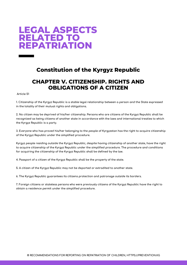### **LEGAL ASPECTS RELATED TO REPATRIATION**

#### **Constitution of the Kyrgyz Republic**

#### **CHAPTER V. CITIZENSHIP. RIGHTS AND OBLIGATIONS OF A CITIZEN**

**Article 51**

1. Citizenship of the Kyrgyz Republic is a stable legal relationship between a person and the State expressed **in the totality of their mutual rights and obligations.**

2. No citizen may be deprived of his/her citizenship. Persons who are citizens of the Kyrgyz Republic shall be recognized as being citizens of another state in accordance with the laws and international treaties to which **the Kyrgyz Republic is a party.**

3. Everyone who has proved his/her belonging to the people of Kyrgyzstan has the right to acquire citizenship **of the Kyrgyz Republic under the simplified procedure.**

**Kyrgyz people residing outside the Kyrgyz Republic, despite having citizenship of another state, have the right to acquire citizenship of the Kyrgyz Republic under the simplified procedure. The procedure and conditions for acquiring the citizenship of the Kyrgyz Republic shall be defined by the law.**

**4. Passport of a citizen of the Kyrgyz Republic shall be the property of the state.**

**5. A citizen of the Kyrgyz Republic may not be deported or extradited to another state.**

**6. The Kyrgyz Republic guarantees its citizens protection and patronage outside its borders.**

7. Foreign citizens or stateless persons who were previously citizens of the Kyrgyz Republic have the right to **obtain a residence permit under the simplified procedure.**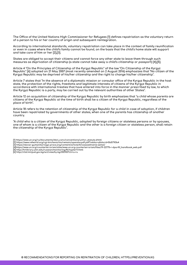The Office of the United Nations High Commissioner for Refugees [1] defines repatriation as the voluntary return **of a person to his or her country of origin and subsequent reintegration.**

**According to international standards, voluntary repatriation can take place in the context of family reunification** or even in cases where the child's family cannot be found, on the basis that the child's home state will support **and take care of him or her [2],[3].**

States are obliged to accept their citizens and cannot force any other state to leave them through such **measures as deprivation of citizenship (a state cannot take away a child's citizenship or passport) [4],[5].**

Article 4 "On the Principles of Citizenship of the Kyrgyz Republic" of the law "On Citizenship of the Kyrgyz Republic" [6] adopted on 21 May 2007 (most recently amended on 2 August 2016) emphasizes that "No citizen of the **Kyrgyz Republic may be deprived of his/her citizenship and the right to change his/her citizenship".**

Article 7 states that "In the absence of a diplomatic mission or consular office of the Kyrgyz Republic in the host state, the protection of the rights, freedoms and legitimate interests of citizens of the Kyrgyz Republic in accordance with international treaties that have entered into force in the manner prescribed by law, to which **the Kyrgyz Republic is a party, may be carried out by the relevant authorities of other States".**

Article 12 on acquisition of citizenship of the Kyrgyz Republic by birth emphasizes that "a child whose parents are citizens of the Kyrgyz Republic at the time of birth shall be a citizen of the Kyrgyz Republic, regardless of the **place of birth".**

Article 18 refers to the retention of citizenship of the Kyrgyz Republic for a child in case of adoption, if children **have been repatriated by governments of other states, when one of the parents has citizenship of another country.**

"A child who is a citizen of the Kyrgyz Republic, adopted by foreign citizens or stateless persons or by spouses, one of whom is a citizen of the Kyrgyz Republic and the other is a foreign citizen or stateless person, shall retain **the citizenship of the Kyrgyz Republic".**

- **[1] [https://www.un.org/ru/documents/decl\\_conv/conventions/unhcr\\_statute.shtml](https://www.un.org/ru/documents/decl_conv/conventions/unhcr_statute.shtml)**
- **[2] <https://www.refworld.org/cgi-bin/texis/vtx/rwmain/opendocpdf.pdf?reldoc=y&docid=5b571f3b4> [3] <https://slovar-gumanitarnogo-prava.org/content/article/4/vossoedinenie-semei/>**
- 
- **[4][https://www.un.org/counterterrorism/sites/www.un.org.counterterrorism/files/19-22775-r-dpa-ftf\\_handbook\\_web.pdf](https://www.un.org/counterterrorism/sites/www.un.org.counterterrorism/files/19-22775-r-dpa-ftf_handbook_web.pdf)**
- **[5] <http://hrlibrary.umn.edu/russian/monitoring/Rchapter11.html> [6] <http://cbd.minjust.gov.kg/act/view/ky-kg/202103?cl=ru-ru>**
-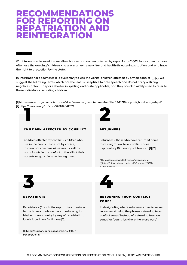### **RECOMMENDATIONS FOR REPORTING ON REPATRIATION AND REINTEGRATION**

**What terms can be used to describe children and women affected by repatriation? Official documents more** often use the wording "children who are in an extremely life- and health-threatening situation and who have **the right to protection by the state".**

In international documents it is customary to use the words "children affected by armed conflict" [1],[2]. We suggest the following terms, which are the least susceptible to hate speech and do not carry a strong negative context. They are shorter in spelling and quite applicable, and they are also widely used to refer to **these individuals, including children.**

**[1] [https://www.un.org/counterterrorism/sites/www.un.org.counterterrorism/files/19-22775-r-dpa-ftf\\_handbook\\_web.pdf](https://www.un.org/counterterrorism/sites/www.un.org.counterterrorism/files/19-22775-r-dpa-ftf_handbook_web.pdf) [2] <https://news.un.org/ru/story/2021/12/1415262> 1** 



#### CHILDREN AFFECTED BY CONFLICT

**Children affected by conflict - children who live in the conflict zone not by choice, involuntarily become witnesses as well as participants in the conflict at the will of their parents or guardians replacing them.**

#### **DETUDNEES**

**Returnees – those who have returned home from emigration, from conflict zones. Explanatory Dictionary of Efremova [1],[2].**

**[1] [https://gufo.me/dict/efremova/возвращенцы](https://gufo.me/dict/efremova/%D0%B2%D0%BE%D0%B7%D0%B2%D1%80%D0%B0%D1%89%D0%B5%D0%BD%D1%86%D1%8B) [\[2\]https://dic.academic.ru/dic.nsf/efremova/273707/](https://dic.academic.ru/dic.nsf/efremova/273707/%D0%B2%D0%BE%D0%B7%D0%B2%D1%80%D0%B0%D1%89%D0%B5%D0%BD%D1%86%D1%8B) возвращенцы**



#### REPATRIATE

**Repatriate – (from Latin: repatriate – to return to the home country) a person returning to his/her home country by way of repatriation. Unabridged Law Dictionary [1].**

**[1] [https://jurisprudence.academic.ru/10467/](https://jurisprudence.academic.ru/10467/%D0%A0%D0%B5%D0%BF%D0%B0%D1%82%D1%80%D0%B8%D0%B0%D0%BD%D1%82) Репатриант**



#### RETURNING FROM CONFLICT **ZONES**

**In designating where returnees come from, we recommend using the phrase "returning from conflict zones" instead of "returning from war zones" or "countries where there are wars".**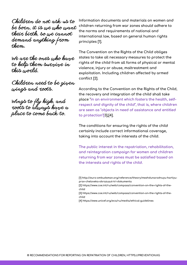Children do not ask us to be born, it is we who want their birth, so we cannot demand anything from them.

We are the ones who have to help them survive in this world.

Children need to be given wings and roots.

Wings to fly high, and roots to always have a place to come back to.

**Information documents and materials on women and children returning from war zones should adhere to the norms and requirements of national and international law, based on general human rights principles [1].**

**The Convention on the Rights of the Child obliges states to take all necessary measures to protect the rights of the child from all forms of physical or mental violence, injury or abuse, maltreatment and exploitation. Including children affected by armed conflict [2].**

**According to the Convention on the Rights of the Child, the recovery and integration of the child shall take place "in an environment which fosters the health, selfrespect and dignity of the child", that is, where children are seen as "objects in need of assistance and entitled to protection"[3],[4].**

**The conditions for ensuring the rights of the child certainly include correct informational coverage, taking into account the interests of the child.**

**The public interest in the repatriation, rehabilitation, and reintegration campaign for women and children returning from war zones must be satisfied based on the interests and rights of the child.**

- **[3] [https://www.coe.int/ru/web/compass/convention-on-the-rights-of-the](https://www.coe.int/ru/web/compass/convention-on-the-rights-of-the-child)child**
- **[4] <https://www.unicef.org/eca/ru/media/ethical-guidelines>**

**<sup>[1]</sup> [http://euro-ombudsman.org/reference/theory/mezhdunarodnuyu-hartiyu](http://euro-ombudsman.org/reference/theory/mezhdunarodnuyu-hartiyu-prav-cheloveka-obrazuyut-tri-dokumenta)prav-cheloveka-obrazuyut-tri-dokumenta**

**<sup>[2]</sup> [https://www.coe.int/ru/web/compass/convention-on-the-rights-of-the](https://www.coe.int/ru/web/compass/convention-on-the-rights-of-the-child)child**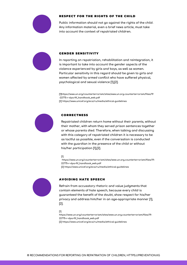

#### RESPECT FOR THE RIGHTS OF THE CHILD

**Public information should not go against the rights of the child. Any information material, even a brief news article, must take into account the context of repatriated children.**



#### GENDER SENSITIVITY

**In reporting on repatriation, rehabilitation and reintegration, it is important to take into account the gender aspects of the violence experienced by girls and boys, as well as women. Particular sensitivity in this regard should be given to girls and women affected by armed conflict who have suffered physical, psychological and sexual violence [1],[2].**

**[\[1\]https://www.un.org/counterterrorism/sites/www.un.org.counterterrorism/files/19](https://www.un.org/counterterrorism/sites/www.un.org.counterterrorism/files/19-22775-r-dpa-ftf_handbook_web.pdf) -22775-r-dpa-ftf\_handbook\_web.pdf [2] <https://www.unicef.org/eca/ru/media/ethical-guidelines>**



#### CORRECTNESS

**Repatriated children return home without their parents, without their mother, with whom they served prison sentences together or whose parents died. Therefore, when talking and discussing with this category of repatriated children it is necessary to be as tactful as possible, even if the conversation is conducted with the guardian in the presence of the child or without his/her participation [1],[2].**

#### **[1]**

**[https://www.un.org/counterterrorism/sites/www.un.org.counterterrorism/files/19-](https://www.un.org/counterterrorism/sites/www.un.org.counterterrorism/files/19-22775-r-dpa-ftf_handbook_web.pdf) 22775-r-dpa-ftf\_handbook\_web.pdf [2] <https://www.unicef.org/eca/ru/media/ethical-guidelines>**



#### AVOIDING HATE SPEECH

**Refrain from accusatory rhetoric and value judgments that contain elements of hate speech, because every child is guaranteed the benefit of the doubt, show respect for his/her privacy and address him/her in an age-appropriate manner [1], [2].**

#### **[1]**

**[https://www.un.org/counterterrorism/sites/www.un.org.counterterrorism/files/19-](https://www.un.org/counterterrorism/sites/www.un.org.counterterrorism/files/19-22775-r-dpa-ftf_handbook_web.pdf) 22775-r-dpa-ftf\_handbook\_web.pdf [2] <https://www.unicef.org/eca/ru/media/ethical-guidelines>**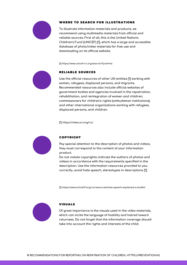

#### WHERE TO SEARCH FOR ILLUSTRATIONS

**To illustrate information materials and products, we recommend using multimedia materials from official and reliable sources. First of all, this is the United Nations Children's Fund (UNICEF) [1], which has a large and accessible database of photo/video materials for free use and downloading on its official website.**

**[1] <https://www.unicef-irc.org/search/?q=al+hol>**



#### RELIABLE SOURCES

**Use the official resources of other UN entities [1] working with women, refugees, displaced persons, and migrants. Recommended resources also include official websites of government bodies and agencies involved in the repatriation, rehabilitation, and reintegration of women and children; commissioners for children's rights (ombudsman institutions); and other international organizations working with refugees, displaced persons, and children.**

**[1] <https://news.un.org/ru/>**



#### COPYRIGHT

**Pay special attention to the description of photos and videos, they must correspond to the content of your information product.**

**Do not violate copyrights; indicate the authors of photos and videos in accordance with the requirements specified in the description. Use the information resources provided to you correctly, avoid hate speech, stereotypes in descriptions [1].**

**[1] <https://www.article19.org/ru/resources/hate-speech-explained-a-toolkit/>**



#### VISUALS

**Of great importance is the visuals used in the video materials, which can incite the language of hostility and hatred toward returnees. Do not forget that the information coverage should take into account the rights and interests of the child.**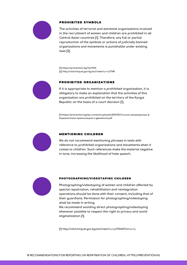

#### PROHIBITED SYMBOLS

**The activities of terrorist and extremist organizations involved in the recruitment of women and children are prohibited in all Central Asian countries [1]. Therefore, any full or partial reproduction of the symbols or actions of judicially banned organizations and movements is punishable under existing laws [2].**

**[1] <https://prevention.kg/?p=9416> [2] <http://cbd.minjust.gov.kg/act/view/ru-ru/1748>**



#### PROHIBITED ORGANIZATIONS

**If it is appropriate to mention a prohibited organization, it is obligatory to make an explanation that the activities of this organization are prohibited on the territory of the Kyrgyz Republic on the basis of a court decision [1].**

**[1] [https://prevention.kg/wp-content/uploads/2019/01/Список-запрещенных-в-](https://prevention.kg/wp-content/uploads/2019/01/%D0%A1%D0%BF%D0%B8%D1%81%D0%BE%D0%BA-%D0%B7%D0%B0%D0%BF%D1%80%D0%B5%D1%89%D0%B5%D0%BD%D0%BD%D1%8B%D1%85-%D0%B2-%D0%9A%D1%8B%D1%80%D0%B3%D1%8B%D0%B7%D1%81%D1%82%D0%B0%D0%BD%D0%B5-%D0%BE%D1%80%D0%B3%D0%B0%D0%BD%D0%B8%D0%B7%D0%B0%D1%86%D0%B8%D0%B9-%D0%B8-%D0%B4%D0%B2%D0%B8%D0%B6%D0%B5%D0%BD%D0%B8%D0%B9.pdf)Кыргызстане-организаций-и-движений.pdf**



#### MENTIONING CHILDREN

**We do not recommend mentioning phrases in texts with reference to prohibited organizations and movements when it comes to children. Such references make the material negative in tone, increasing the likelihood of hate speech.**



#### PHOTOGRAPHING/VIDEOTAPING CHILDREN

**Photographing/videotaping of women and children affected by special repatriation, rehabilitation and reintegration operations should be done with their consent, including that of their guardians. Permission for photographing/videotaping shall be made in writing.**

**We recommend avoiding direct photographing/videotaping whenever possible to respect the right to privacy and avoid stigmatization [1].**

**[1] <http://cbd.minjust.gov.kg/act/view/ru-ru/17444?cl=ru-ru>**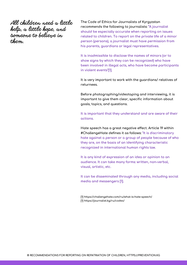All children need a little help, a little hope, and someone to believe in them.

**The Code of Ethics for Journalists of Kyrgyzstan recommends the following to journalists: "A journalist should be especially accurate when reporting on issues related to children. To report on the private life of a minor person (persons), a journalist must have permission from his parents, guardians or legal representatives.**

**It is inadmissible to disclose the names of minors (or to show signs by which they can be recognized) who have been involved in illegal acts, who have become participants in violent events"[1].**

**It is very important to work with the guardians/ relatives of returnees.**

**Before photographing/videotaping and interviewing, it is important to give them clear, specific information about goals, topics, and questions.**

**It is important that they understand and are aware of their actions.**

**Hate speech has a great negative effect. Article 19 within #ChallengeHate defines it as follows: "It is discriminatory hate against a person or a group of people because of who they are, on the basis of an identifying characteristic recognized in international human rights law.**

**It is any kind of expression of an idea or opinion to an audience. It can take many forms: written, non-verbal, visual, artistic, etc.**

**It can be disseminated through any media, including social media and messengers [1].**

**[1] <https://challengehate.com/ru/what-is-hate-speech/> [1] <https://journalist.kg/ru/codex/>**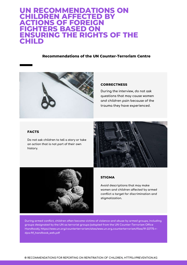#### **UN RECOMMENDATIONS ON CHILDREN AFFECTED BY ACTIONS OF FOREIGN FIGHTERS BASED ON ENSURING THE RIGHTS OF THE CHILD**

#### **Recommendations of the UN Counter-Terrorism Centre**



#### **CORRECTNESS**

**During the interview, do not ask questions that may cause women and children pain because of the trauma they have experienced.**

#### **FACTS**

**Do not ask children to tell a story or take an action that is not part of their own history.**





#### **STIGMA**

**Avoid descriptions that may make women and children affected by armed conflict a target for discrimination and stigmatization.**

**During armed conflict, children often become victims of violence and abuse by armed groups, including groups designated by the UN as terrorist groups (adapted from the UN Counter-Terrorism Office Handbook), https://www.un.org/counterterrorism/sites/www.un.org.counterterrorism/files/19-22775-rdpa-ftf\_handbook\_web.pdf**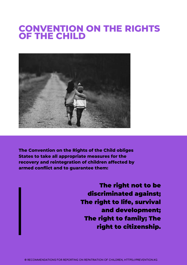### **CONVENTION ON THE RIGHTS OF THE CHILD**



**The Convention on the Rights of the Child obliges States to take all appropriate measures for the recovery and reintegration of children affected by armed conflict and to guarantee them:**

> The right not to be discriminated against; The right to life, survival and development; The right to family; The right to citizenship.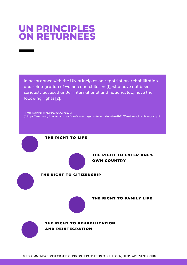### **UN PRINCIPLES ON RETURNEES**

**In accordance with the UN principles on repatriation, rehabilitation and reintegration of women and children [1], who have not been seriously accused under international and national law, have the following rights [2]:**

**[1] [https://undocs.org/ru/S/RES/2396\(2017\)](https://undocs.org/ru/S/RES/2396(2017)) [2] [https://www.un.org/counterterrorism/sites/www.un.org.counterterrorism/files/19-22775-r-dpa-ftf\\_handbook\\_web.pdf](https://www.un.org/counterterrorism/sites/www.un.org.counterterrorism/files/19-22775-r-dpa-ftf_handbook_web.pdf)**

THE RIGHT TO LIFE THE RIGHT TO ENTER ONE'S OWN COUNTRY THE RIGHT TO CITIZENSHIP THE RIGHT TO FAMILY LIFE THE RIGHT TO REHABILITATION AND REINTEGRATION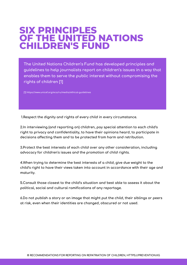### **SIX PRINCIPLES OF THE UNITED NATIONS CHILDREN'S FUND**

**The United Nations Children's Fund has developed principles and guidelines to help journalists report on children's issues in a way that enables them to serve the public interest without compromising the rights of children [1]**

**[1] <https://www.unicef.org/eca/ru/media/ethical-guidelines>**

**1.Respect the dignity and rights of every child in every circumstance.**

**2.In interviewing (and reporting on) children, pay special attention to each child's right to privacy and confidentiality, to have their opinions heard, to participate in decisions affecting them and to be protected from harm and retribution.**

**3.Protect the best interests of each child over any other consideration, including advocacy for children's issues and the promotion of child rights.**

**4.When trying to determine the best interests of a child, give due weight to the child's right to have their views taken into account in accordance with their age and maturity.**

**5.Consult those closest to the child's situation and best able to assess it about the political, social and cultural ramifications of any reportage.**

**6.Do not publish a story or an image that might put the child, their siblings or peers at risk, even when their identities are changed, obscured or not used.**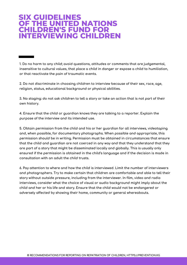### **SIX GUIDELINES OF THE UNITED NATIONS CHILDREN'S FUND FOR INTERVIEWING CHILDREN**

**1. Do no harm to any child; avoid questions, attitudes or comments that are judgemental, insensitive to cultural values, that place a child in danger or expose a child to humiliation, or that reactivate the pain of traumatic events.**

**2. Do not discriminate in choosing children to interview because of their sex, race, age, religion, status, educational background or physical abilities.**

3. No staging: do not ask children to tell a story or take an action that is not part of their **own history.**

**4. Ensure that the child or guardian knows they are talking to a reporter. Explain the purpose of the interview and its intended use.**

**5. Obtain permission from the child and his or her guardian for all interviews, videotaping and, when possible, for documentary photographs. When possible and appropriate, this permission should be in writing. Permission must be obtained in circumstances that ensure that the child and guardian are not coerced in any way and that they understand that they are part of a story that might be disseminated locally and globally. This is usually only ensured if the permission is obtained in the child's language and if the decision is made in consultation with an adult the child trusts.**

**6. Pay attention to where and how the child is interviewed. Limit the number of interviewers and photographers. Try to make certain that children are comfortable and able to tell their story without outside pressure, including from the interviewer. In film, video and radio interviews, consider what the choice of visual or audio background might imply about the child and her or his life and story. Ensure that the child would not be endangered or adversely affected by showing their home, community or general whereabouts.**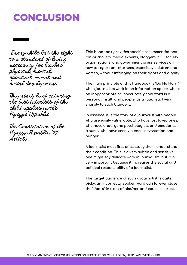### **CONCLUSION**

Every child has the right to a standard of living necessary for his/her physical, mental, spiritual, moral and social development.

The principle of ensuring the best interests of the child applies in the Kyrgyz Republic.

The Constitution of the Kyrgyz Republic, 27 Article

**This handbook provides specific recommendations for journalists, media experts, bloggers, civil society organizations, and government press services on how to report on returnees, especially children and women, without infringing on their rights and dignity.**

**The main principle of this handbook is "Do No Harm" when journalists work in an information space, where an inappropriate or inaccurately said word is a personal insult, and people, as a rule, react very sharply to such blunders.**

**In essence, it is the work of a journalist with people who are easily vulnerable, who have lost loved ones, who have undergone psychological and emotional trauma, who have seen violence, devastation and hunger.**

**A journalist must first of all study them, understand their condition. This is a very subtle and sensitive, one might say delicate work in journalism, but it is very important because it increases the social and political responsibility of a journalist.**

**The target audience of such a journalist is quite picky, an incorrectly spoken word can forever close the "doors" in front of him/her and cause mistrust.**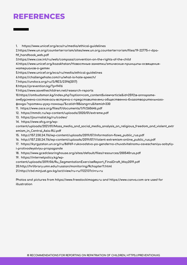### **REFERENCES**

**1. <https://www.unicef.org/eca/ru/media/ethical-guidelines>**

**[2.https://www.un.org/counterterrorism/sites/www.un.org.counterterrorism/files/19-22775-r-dpa](https://www.un.org/counterterrorism/sites/www.un.org.counterterrorism/files/19-22775-r-dpa-ftf_handbook_web.pdf)ftf\_handbook\_web.pdf**

**3[.https://www.coe.int/ru/web/compass/convention-on-the-rights-of-the-child](https://www.coe.int/ru/web/compass/convention-on-the-rights-of-the-child)**

**[4.https://www.unicef.org/kazakhstan/Новостные-заметки/этические-принципы-освящения](https://www.unicef.org/kazakhstan/%D0%9D%D0%BE%D0%B2%D0%BE%D1%81%D1%82%D0%BD%D1%8B%D0%B5-%D0%B7%D0%B0%D0%BC%D0%B5%D1%82%D0%BA%D0%B8/%D1%8D%D1%82%D0%B8%D1%87%D0%B5%D1%81%D0%BA%D0%B8%D0%B5-%D0%BF%D1%80%D0%B8%D0%BD%D1%86%D0%B8%D0%BF%D1%8B-%D0%BE%D1%81%D0%B2%D1%8F%D1%89%D0%B5%D0%BD%D0%B8%D1%8F-%D0%BC%D0%B0%D1%82%D0%B5%D1%80%D0%B8%D0%B0%D0%BB%D0%BE%D0%B2-%D0%BE-%D0%B4%D0%B5%D1%82%D1%8F%D1%85)материалов-о-детях**

**5.<https://www.unicef.org/eca/ru/media/ethical-guidelines>**

**6.<https://challengehate.com/ru/what-is-hate-speech/>**

**7.[https://undocs.org/ru/S/RES/2396\(2017\)](https://undocs.org/ru/S/RES/2396(2017))**

**8.<https://prevention.kg/?p=9416>**

**9.<https://www.savethechildren.net/research-reports>**

**10.https://ombudsman.kg/index.php?option=com\_content&view=article&id=2592:в-аппарате-**

**[омбудсмена-состоялась-встреча-с-представителями-общественно-благотворительного-](https://ombudsman.kg/index.php?option=com_content&view=article&id=2592:%D0%B2-%D0%B0%D0%BF%D0%BF%D0%B0%D1%80%D0%B0%D1%82%D0%B5-%D0%BE%D0%BC%D0%B1%D1%83%D0%B4%D1%81%D0%BC%D0%B5%D0%BD%D0%B0-%D1%81%D0%BE%D1%81%D1%82%D0%BE%D1%8F%D0%BB%D0%B0%D1%81%D1%8C-%D0%B2%D1%81%D1%82%D1%80%D0%B5%D1%87%D0%B0-%D1%81-%D0%BF%D1%80%D0%B5%D0%B4%D1%81%D1%82%D0%B0%D0%B2%D0%B8%D1%82%D0%B5%D0%BB%D1%8F%D0%BC%D0%B8-%D0%BE%D0%B1%D1%89%D0%B5%D1%81%D1%82%D0%B2%D0%B5%D0%BD%D0%BD%D0%BE-%D0%B1%D0%BB%D0%B0%D0%B3%D0%BE%D1%82%D0%B2%D0%BE%D1%80%D0%B8%D1%82%D0%B5%D0%BB%D1%8C%D0%BD%D0%BE%D0%B3%D0%BE-%D1%84%D0%BE%D0%BD%D0%B4%D0%B0-%E2%80%9C%D0%BF%D1%80%D0%BE%D1%82%D1%8F%D0%BD%D0%B8-%D1%80%D1%83%D0%BA%D1%83-%D0%BF%D0%BE%D0%BC%D0%BE%D1%89%D0%B8%E2%80%9D&catid=18&lang=ru&Itemid=330)**

- **фонда-"протяни-руку-помощи"&catid=18&lang=ru&Itemid=330**
- **11. <https://www.osce.org/files/f/documents/1/9/260646.pdf>**
- **12. <https://mmdc.ru/wp-content/uploads/2020/01/extreme.pdf>**
- **13. <https://journalist.kg/ru/codex/>**
- **14. https://www.sfcg.org/wp-**

**[content/uploads/2021/01/Mass\\_media\\_and\\_social\\_media\\_analysis\\_on\\_religious\\_freedom\\_and\\_violent\\_extr](https://www.sfcg.org/wp-content/uploads/2021/01/Mass_media_and_social_media_analysis_on_religious_freedom_and_violent_extremism_in_Central_Asia-RU.pdf) emism\_in\_Central\_Asia-RU.pdf**

- **15. [http://157.230.24.116/wp-content/uploads/2019/07/Information-flows\\_public\\_rus.pdf](http://157.230.24.116/wp-content/uploads/2019/07/Information-flows_public_rus.pdf)**
- **16. [http://157.230.24.116/wp-content/uploads/2019/07/Violent-extremism-online\\_public\\_rus.pdf](http://157.230.24.116/wp-content/uploads/2019/07/Violent-extremism-online_public_rus.pdf)**
- **17. [https://kyrgyzstan.un.org/ru/86969-rukovodstvo-po-genderno-chuvstvitelnomu-osvescheniyu-sobytiy](https://kyrgyzstan.un.org/ru/86969-rukovodstvo-po-genderno-chuvstvitelnomu-osvescheniyu-sobytiy-i-protivodeystviyu-propagande)i-protivodeystviyu-propagande**
- **18. <https://www.gcedclearinghouse.org/sites/default/files/resources/200540rus.pdf>**

**19. https://internetpolicy.kg/wp-**

**[content/uploads/2019/06/Ru\\_SegmentationExerciseReport\\_FinalDraft\\_May2019.pdf](https://internetpolicy.kg/wp-content/uploads/2019/06/Ru_SegmentationExerciseReport_FinalDraft_May2019.pdf)**

- **20[.http://hrlibrary.umn.edu/russian/monitoring/Rchapter11.html](http://hrlibrary.umn.edu/russian/monitoring/Rchapter11.html)**
- **21.<http://cbd.minjust.gov.kg/act/view/ru-ru/112213?cl=ru-ru>**

**Photos and pictures from [https://www.freestockimages.ru](https://www.freestockimages.ru/) and [https://www.canva.com](https://www.canva.com/) are used for illustration**